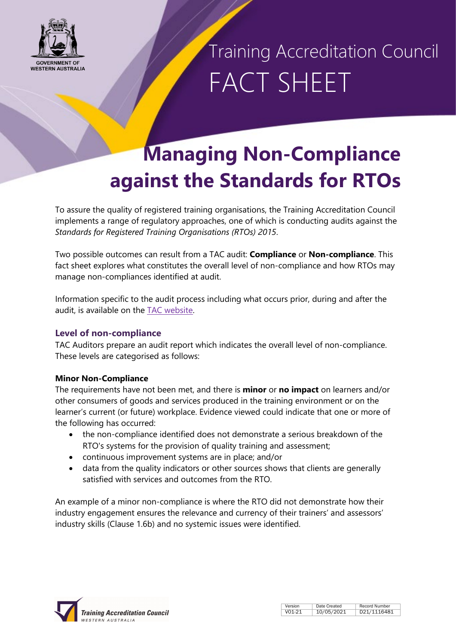

Training Accreditation Council FACT SHEET

### **Managing Non-Compliance against the Standards for RTOs**

To assure the quality of registered training organisations, the Training Accreditation Council implements a range of regulatory approaches, one of which is conducting audits against the *Standards for Registered Training Organisations (RTOs) 2015*.

Two possible outcomes can result from a TAC audit: **Compliance** or **Non-compliance**. This fact sheet explores what constitutes the overall level of non-compliance and how RTOs may manage non-compliances identified at audit.

Information specific to the audit process including what occurs prior, during and after the audit, is available on the [TAC website.](https://tac.wa.gov.au/registration/audits/Pages/default.aspx)

#### **Level of non-compliance**

TAC Auditors prepare an audit report which indicates the overall level of non-compliance. These levels are categorised as follows:

#### **Minor Non-Compliance**

The requirements have not been met, and there is **minor** or **no impact** on learners and/or other consumers of goods and services produced in the training environment or on the learner's current (or future) workplace. Evidence viewed could indicate that one or more of the following has occurred:

- the non-compliance identified does not demonstrate a serious breakdown of the RTO's systems for the provision of quality training and assessment;
- continuous improvement systems are in place; and/or
- data from the quality indicators or other sources shows that clients are generally satisfied with services and outcomes from the RTO.

An example of a minor non-compliance is where the RTO did not demonstrate how their industry engagement ensures the relevance and currency of their trainers' and assessors' industry skills (Clause 1.6b) and no systemic issues were identified.



| Version | Date Created | <b>Record Number</b> |
|---------|--------------|----------------------|
| VO1-21  | 10/05/2021   | D21/1116481          |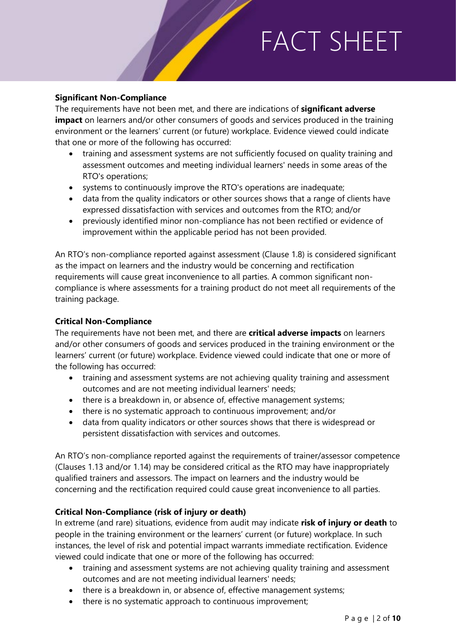#### **Significant Non-Compliance**

The requirements have not been met, and there are indications of **significant adverse impact** on learners and/or other consumers of goods and services produced in the training environment or the learners' current (or future) workplace. Evidence viewed could indicate that one or more of the following has occurred:

- training and assessment systems are not sufficiently focused on quality training and assessment outcomes and meeting individual learners' needs in some areas of the RTO's operations;
- systems to continuously improve the RTO's operations are inadequate;
- data from the quality indicators or other sources shows that a range of clients have expressed dissatisfaction with services and outcomes from the RTO; and/or
- previously identified minor non-compliance has not been rectified or evidence of improvement within the applicable period has not been provided.

An RTO's non-compliance reported against assessment (Clause 1.8) is considered significant as the impact on learners and the industry would be concerning and rectification requirements will cause great inconvenience to all parties. A common significant noncompliance is where assessments for a training product do not meet all requirements of the training package.

#### **Critical Non-Compliance**

The requirements have not been met, and there are **critical adverse impacts** on learners and/or other consumers of goods and services produced in the training environment or the learners' current (or future) workplace. Evidence viewed could indicate that one or more of the following has occurred:

- training and assessment systems are not achieving quality training and assessment outcomes and are not meeting individual learners' needs;
- there is a breakdown in, or absence of, effective management systems;
- there is no systematic approach to continuous improvement; and/or
- data from quality indicators or other sources shows that there is widespread or persistent dissatisfaction with services and outcomes.

An RTO's non-compliance reported against the requirements of trainer/assessor competence (Clauses 1.13 and/or 1.14) may be considered critical as the RTO may have inappropriately qualified trainers and assessors. The impact on learners and the industry would be concerning and the rectification required could cause great inconvenience to all parties.

#### **Critical Non-Compliance (risk of injury or death)**

In extreme (and rare) situations, evidence from audit may indicate **risk of injury or death** to people in the training environment or the learners' current (or future) workplace. In such instances, the level of risk and potential impact warrants immediate rectification. Evidence viewed could indicate that one or more of the following has occurred:

- training and assessment systems are not achieving quality training and assessment outcomes and are not meeting individual learners' needs;
- there is a breakdown in, or absence of, effective management systems;
- there is no systematic approach to continuous improvement;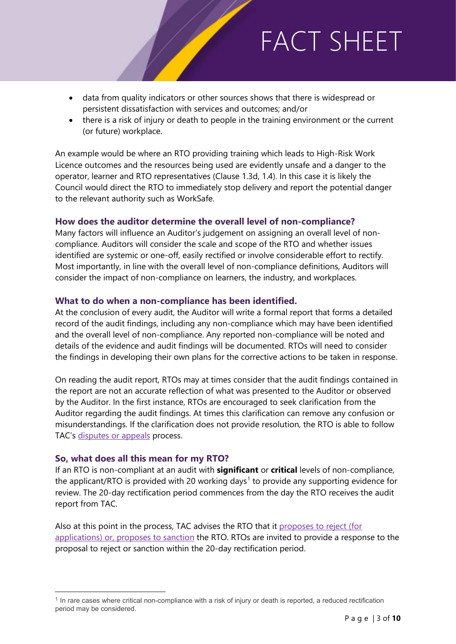- data from quality indicators or other sources shows that there is widespread or persistent dissatisfaction with services and outcomes; and/or
- there is a risk of injury or death to people in the training environment or the current (or future) workplace.

An example would be where an RTO providing training which leads to High-Risk Work Licence outcomes and the resources being used are evidently unsafe and a danger to the operator, learner and RTO representatives (Clause 1.3d, 1.4). In this case it is likely the Council would direct the RTO to immediately stop delivery and report the potential danger to the relevant authority such as WorkSafe.

#### **How does the auditor determine the overall level of non-compliance?**

Many factors will influence an Auditor's judgement on assigning an overall level of noncompliance. Auditors will consider the scale and scope of the RTO and whether issues identified are systemic or one-off, easily rectified or involve considerable effort to rectify. Most importantly, in line with the overall level of non-compliance definitions, Auditors will consider the impact of non-compliance on learners, the industry, and workplaces.

#### **What to do when a non-compliance has been identified.**

At the conclusion of every audit, the Auditor will write a formal report that forms a detailed record of the audit findings, including any non-compliance which may have been identified and the overall level of non-compliance. Any reported non-compliance will be noted and details of the evidence and audit findings will be documented. RTOs will need to consider the findings in developing their own plans for the corrective actions to be taken in response.

On reading the audit report, RTOs may at times consider that the audit findings contained in the report are not an accurate reflection of what was presented to the Auditor or observed by the Auditor. In the first instance, RTOs are encouraged to seek clarification from the Auditor regarding the audit findings. At times this clarification can remove any confusion or misunderstandings. If the clarification does not provide resolution, the RTO is able to follow TAC's [disputes or appeals](https://tac.wa.gov.au/registration/audits/afteraudit/Pages/disputesappeals.aspx) process.

#### **So, what does all this mean for my RTO?**

 $\overline{a}$ 

If an RTO is non-compliant at an audit with **significant** or **critical** levels of non-compliance, the applicant/RTO is provided with 20 working days<sup>[1](#page-2-0)</sup> to provide any supporting evidence for review. The 20-day rectification period commences from the day the RTO receives the audit report from TAC.

Also at this point in the process, TAC advises the RTO that it proposes [to reject \(for](https://tac.wa.gov.au/registration/audits/afteraudit/Pages/reporting.aspx)  [applications\) or, proposes](https://tac.wa.gov.au/registration/audits/afteraudit/Pages/reporting.aspx) to sanction the RTO. RTOs are invited to provide a response to the proposal to reject or sanction within the 20-day rectification period.

<span id="page-2-0"></span><sup>&</sup>lt;sup>1</sup> In rare cases where critical non-compliance with a risk of injury or death is reported, a reduced rectification period may be considered.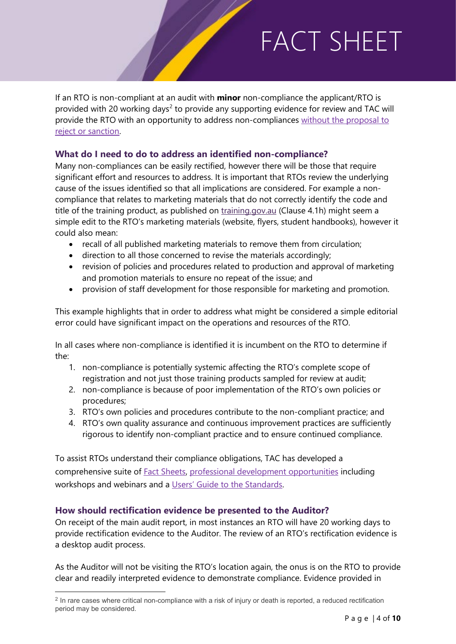If an RTO is non-compliant at an audit with **minor** non-compliance the applicant/RTO is provided with [2](#page-3-0)0 working days<sup>2</sup> to provide any supporting evidence for review and TAC will provide the RTO with an opportunity to address non-compliances [without the proposal to](https://tac.wa.gov.au/registration/audits/afteraudit/Pages/reporting.aspx)  [reject or sanction.](https://tac.wa.gov.au/registration/audits/afteraudit/Pages/reporting.aspx)

#### **What do I need to do to address an identified non-compliance?**

Many non-compliances can be easily rectified, however there will be those that require significant effort and resources to address. It is important that RTOs review the underlying cause of the issues identified so that all implications are considered. For example a noncompliance that relates to marketing materials that do not correctly identify the code and title of the training product, as published on [training.gov.au](http://www.training.gov.au/) (Clause 4.1h) might seem a simple edit to the RTO's marketing materials (website, flyers, student handbooks), however it could also mean:

- recall of all published marketing materials to remove them from circulation;
- direction to all those concerned to revise the materials accordingly;
- revision of policies and procedures related to production and approval of marketing and promotion materials to ensure no repeat of the issue; and
- provision of staff development for those responsible for marketing and promotion.

This example highlights that in order to address what might be considered a simple editorial error could have significant impact on the operations and resources of the RTO.

In all cases where non-compliance is identified it is incumbent on the RTO to determine if the:

- 1. non-compliance is potentially systemic affecting the RTO's complete scope of registration and not just those training products sampled for review at audit;
- 2. non-compliance is because of poor implementation of the RTO's own policies or procedures;
- 3. RTO's own policies and procedures contribute to the non-compliant practice; and
- 4. RTO's own quality assurance and continuous improvement practices are sufficiently rigorous to identify non-compliant practice and to ensure continued compliance.

To assist RTOs understand their compliance obligations, TAC has developed a comprehensive suite of [Fact Sheets,](https://tac.wa.gov.au/StandardsRTOs2015/Pages/Fact%20Sheets/Fact-sheets.aspx) [professional development opportunities](https://tac.wa.gov.au/about-us/Pages/Education-Program.aspx) including workshops and webinars and a [Users' Guide to the Standards.](https://tac.wa.gov.au/StandardsRTOs2015/Pages/Users%e2%80%99-Guide-.aspx)

#### **How should rectification evidence be presented to the Auditor?**

 $\overline{a}$ 

On receipt of the main audit report, in most instances an RTO will have 20 working days to provide rectification evidence to the Auditor. The review of an RTO's rectification evidence is a desktop audit process.

As the Auditor will not be visiting the RTO's location again, the onus is on the RTO to provide clear and readily interpreted evidence to demonstrate compliance. Evidence provided in

<span id="page-3-0"></span><sup>&</sup>lt;sup>2</sup> In rare cases where critical non-compliance with a risk of injury or death is reported, a reduced rectification period may be considered.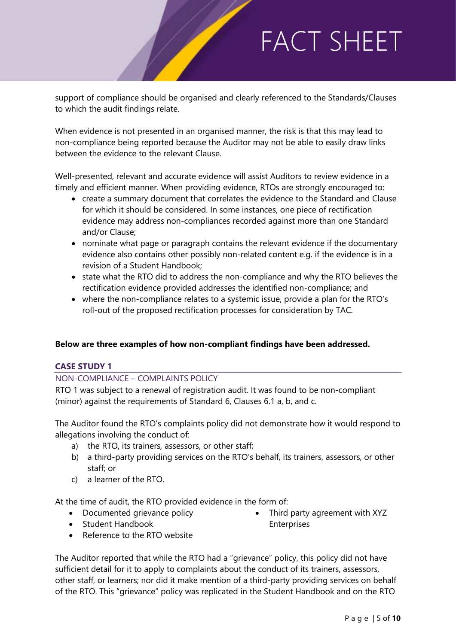support of compliance should be organised and clearly referenced to the Standards/Clauses to which the audit findings relate.

When evidence is not presented in an organised manner, the risk is that this may lead to non-compliance being reported because the Auditor may not be able to easily draw links between the evidence to the relevant Clause.

Well-presented, relevant and accurate evidence will assist Auditors to review evidence in a timely and efficient manner. When providing evidence, RTOs are strongly encouraged to:

- create a summary document that correlates the evidence to the Standard and Clause for which it should be considered. In some instances, one piece of rectification evidence may address non-compliances recorded against more than one Standard and/or Clause;
- nominate what page or paragraph contains the relevant evidence if the documentary evidence also contains other possibly non-related content e.g. if the evidence is in a revision of a Student Handbook;
- state what the RTO did to address the non-compliance and why the RTO believes the rectification evidence provided addresses the identified non-compliance; and
- where the non-compliance relates to a systemic issue, provide a plan for the RTO's roll-out of the proposed rectification processes for consideration by TAC.

#### **Below are three examples of how non-compliant findings have been addressed.**

#### **CASE STUDY 1**

#### NON-COMPLIANCE – COMPLAINTS POLICY

RTO 1 was subject to a renewal of registration audit. It was found to be non-compliant (minor) against the requirements of Standard 6, Clauses 6.1 a, b, and c.

The Auditor found the RTO's complaints policy did not demonstrate how it would respond to allegations involving the conduct of:

- a) the RTO, its trainers*,* assessors, or other staff;
- b) a third-party providing services on the RTO's behalf, its trainers, assessors, or other staff; or
- c) a learner of the RTO.

At the time of audit, the RTO provided evidence in the form of:

- Documented grievance policy
- Third party agreement with XYZ Enterprises
- Student Handbook
- Reference to the RTO website

The Auditor reported that while the RTO had a "grievance" policy, this policy did not have sufficient detail for it to apply to complaints about the conduct of its trainers, assessors, other staff, or learners; nor did it make mention of a third-party providing services on behalf of the RTO. This "grievance" policy was replicated in the Student Handbook and on the RTO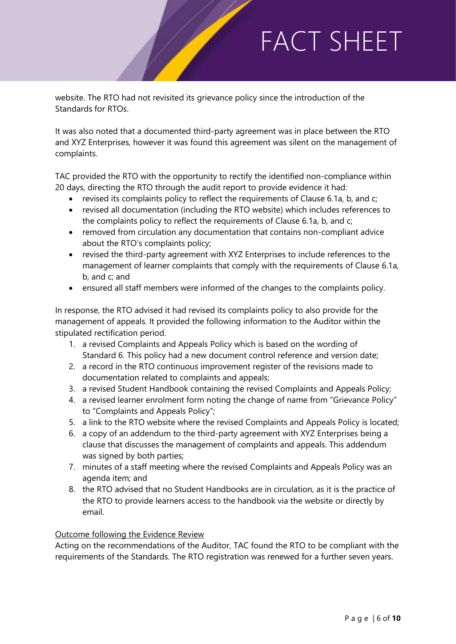website. The RTO had not revisited its grievance policy since the introduction of the Standards for RTOs.

It was also noted that a documented third-party agreement was in place between the RTO and XYZ Enterprises, however it was found this agreement was silent on the management of complaints.

TAC provided the RTO with the opportunity to rectify the identified non-compliance within 20 days, directing the RTO through the audit report to provide evidence it had:

- revised its complaints policy to reflect the requirements of Clause 6.1a, b, and c;
- revised all documentation (including the RTO website) which includes references to the complaints policy to reflect the requirements of Clause 6.1a, b, and c;
- removed from circulation any documentation that contains non-compliant advice about the RTO's complaints policy;
- revised the third-party agreement with XYZ Enterprises to include references to the management of learner complaints that comply with the requirements of Clause 6.1a, b, and c; and
- ensured all staff members were informed of the changes to the complaints policy.

In response, the RTO advised it had revised its complaints policy to also provide for the management of appeals. It provided the following information to the Auditor within the stipulated rectification period.

- 1. a revised Complaints and Appeals Policy which is based on the wording of Standard 6. This policy had a new document control reference and version date;
- 2. a record in the RTO continuous improvement register of the revisions made to documentation related to complaints and appeals;
- 3. a revised Student Handbook containing the revised Complaints and Appeals Policy;
- 4. a revised learner enrolment form noting the change of name from "Grievance Policy" to "Complaints and Appeals Policy";
- 5. a link to the RTO website where the revised Complaints and Appeals Policy is located;
- 6. a copy of an addendum to the third-party agreement with XYZ Enterprises being a clause that discusses the management of complaints and appeals. This addendum was signed by both parties;
- 7. minutes of a staff meeting where the revised Complaints and Appeals Policy was an agenda item; and
- 8. the RTO advised that no Student Handbooks are in circulation, as it is the practice of the RTO to provide learners access to the handbook via the website or directly by email.

#### Outcome following the Evidence Review

Acting on the recommendations of the Auditor, TAC found the RTO to be compliant with the requirements of the Standards. The RTO registration was renewed for a further seven years.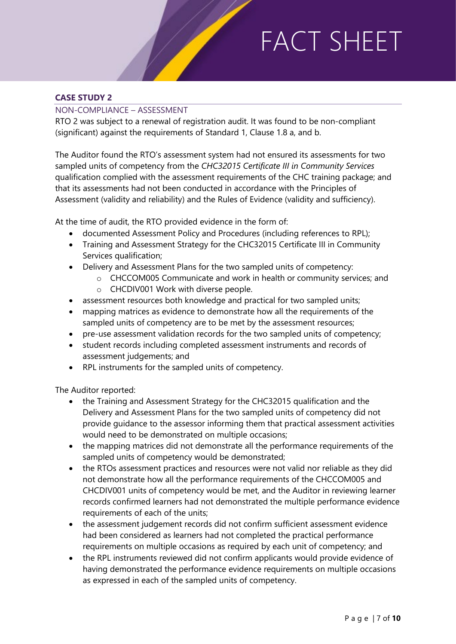#### **CASE STUDY 2**

#### NON-COMPLIANCE – ASSESSMENT

RTO 2 was subject to a renewal of registration audit. It was found to be non-compliant (significant) against the requirements of Standard 1, Clause 1.8 a, and b.

The Auditor found the RTO's assessment system had not ensured its assessments for two sampled units of competency from the *CHC32015 Certificate III in Community Services* qualification complied with the assessment requirements of the CHC training package; and that its assessments had not been conducted in accordance with the Principles of Assessment (validity and reliability) and the Rules of Evidence (validity and sufficiency).

At the time of audit, the RTO provided evidence in the form of:

- documented Assessment Policy and Procedures (including references to RPL);
- Training and Assessment Strategy for the CHC32015 Certificate III in Community Services qualification;
- Delivery and Assessment Plans for the two sampled units of competency:
	- o CHCCOM005 Communicate and work in health or community services; and
	- o CHCDIV001 Work with diverse people.
- assessment resources both knowledge and practical for two sampled units;
- mapping matrices as evidence to demonstrate how all the requirements of the sampled units of competency are to be met by the assessment resources;
- pre-use assessment validation records for the two sampled units of competency;
- student records including completed assessment instruments and records of assessment judgements; and
- RPL instruments for the sampled units of competency.

The Auditor reported:

- the Training and Assessment Strategy for the CHC32015 qualification and the Delivery and Assessment Plans for the two sampled units of competency did not provide guidance to the assessor informing them that practical assessment activities would need to be demonstrated on multiple occasions;
- the mapping matrices did not demonstrate all the performance requirements of the sampled units of competency would be demonstrated;
- the RTOs assessment practices and resources were not valid nor reliable as they did not demonstrate how all the performance requirements of the CHCCOM005 and CHCDIV001 units of competency would be met, and the Auditor in reviewing learner records confirmed learners had not demonstrated the multiple performance evidence requirements of each of the units;
- the assessment judgement records did not confirm sufficient assessment evidence had been considered as learners had not completed the practical performance requirements on multiple occasions as required by each unit of competency; and
- the RPL instruments reviewed did not confirm applicants would provide evidence of having demonstrated the performance evidence requirements on multiple occasions as expressed in each of the sampled units of competency.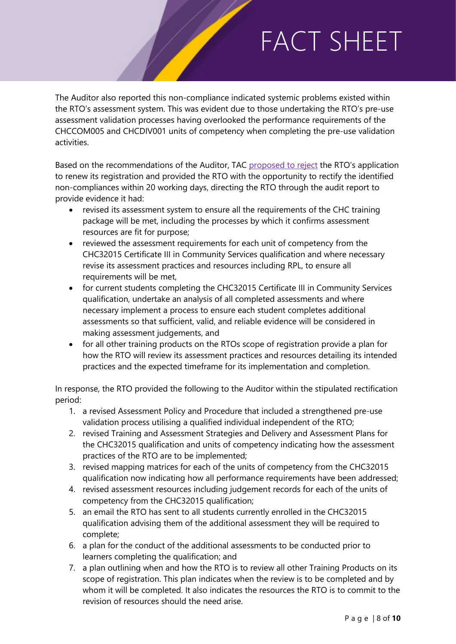The Auditor also reported this non-compliance indicated systemic problems existed within the RTO's assessment system. This was evident due to those undertaking the RTO's pre-use assessment validation processes having overlooked the performance requirements of the CHCCOM005 and CHCDIV001 units of competency when completing the pre-use validation activities.

Based on the recommendations of the Auditor, TAC [proposed to reject](https://tac.wa.gov.au/registration/audits/afteraudit/Pages/reporting.aspx) the RTO's application to renew its registration and provided the RTO with the opportunity to rectify the identified non-compliances within 20 working days, directing the RTO through the audit report to provide evidence it had:

- revised its assessment system to ensure all the requirements of the CHC training package will be met, including the processes by which it confirms assessment resources are fit for purpose;
- reviewed the assessment requirements for each unit of competency from the CHC32015 Certificate III in Community Services qualification and where necessary revise its assessment practices and resources including RPL, to ensure all requirements will be met,
- for current students completing the CHC32015 Certificate III in Community Services qualification, undertake an analysis of all completed assessments and where necessary implement a process to ensure each student completes additional assessments so that sufficient, valid, and reliable evidence will be considered in making assessment judgements, and
- for all other training products on the RTOs scope of registration provide a plan for how the RTO will review its assessment practices and resources detailing its intended practices and the expected timeframe for its implementation and completion.

In response, the RTO provided the following to the Auditor within the stipulated rectification period:

- 1. a revised Assessment Policy and Procedure that included a strengthened pre-use validation process utilising a qualified individual independent of the RTO;
- 2. revised Training and Assessment Strategies and Delivery and Assessment Plans for the CHC32015 qualification and units of competency indicating how the assessment practices of the RTO are to be implemented;
- 3. revised mapping matrices for each of the units of competency from the CHC32015 qualification now indicating how all performance requirements have been addressed;
- 4. revised assessment resources including judgement records for each of the units of competency from the CHC32015 qualification;
- 5. an email the RTO has sent to all students currently enrolled in the CHC32015 qualification advising them of the additional assessment they will be required to complete;
- 6. a plan for the conduct of the additional assessments to be conducted prior to learners completing the qualification; and
- 7. a plan outlining when and how the RTO is to review all other Training Products on its scope of registration. This plan indicates when the review is to be completed and by whom it will be completed. It also indicates the resources the RTO is to commit to the revision of resources should the need arise.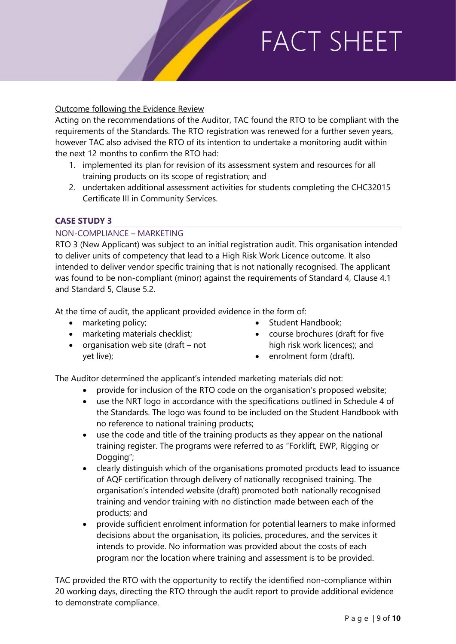#### Outcome following the Evidence Review

Acting on the recommendations of the Auditor, TAC found the RTO to be compliant with the requirements of the Standards. The RTO registration was renewed for a further seven years, however TAC also advised the RTO of its intention to undertake a monitoring audit within the next 12 months to confirm the RTO had:

- 1. implemented its plan for revision of its assessment system and resources for all training products on its scope of registration; and
- 2. undertaken additional assessment activities for students completing the CHC32015 Certificate III in Community Services.

#### **CASE STUDY 3**

#### NON-COMPLIANCE – MARKETING

RTO 3 (New Applicant) was subject to an initial registration audit. This organisation intended to deliver units of competency that lead to a High Risk Work Licence outcome. It also intended to deliver vendor specific training that is not nationally recognised. The applicant was found to be non-compliant (minor) against the requirements of Standard 4, Clause 4.1 and Standard 5, Clause 5.2.

At the time of audit, the applicant provided evidence in the form of:

- marketing policy;
- marketing materials checklist;
- organisation web site (draft not yet live);
- Student Handbook:
- course brochures (draft for five high risk work licences); and
- enrolment form (draft).

The Auditor determined the applicant's intended marketing materials did not:

- provide for inclusion of the RTO code on the organisation's proposed website;
- use the NRT logo in accordance with the specifications outlined in Schedule 4 of the Standards. The logo was found to be included on the Student Handbook with no reference to national training products;
- use the code and title of the training products as they appear on the national training register. The programs were referred to as "Forklift, EWP, Rigging or Dogging";
- clearly distinguish which of the organisations promoted products lead to issuance of AQF certification through delivery of nationally recognised training. The organisation's intended website (draft) promoted both nationally recognised training and vendor training with no distinction made between each of the products; and
- provide sufficient enrolment information for potential learners to make informed decisions about the organisation, its policies, procedures, and the services it intends to provide. No information was provided about the costs of each program nor the location where training and assessment is to be provided.

TAC provided the RTO with the opportunity to rectify the identified non-compliance within 20 working days, directing the RTO through the audit report to provide additional evidence to demonstrate compliance.